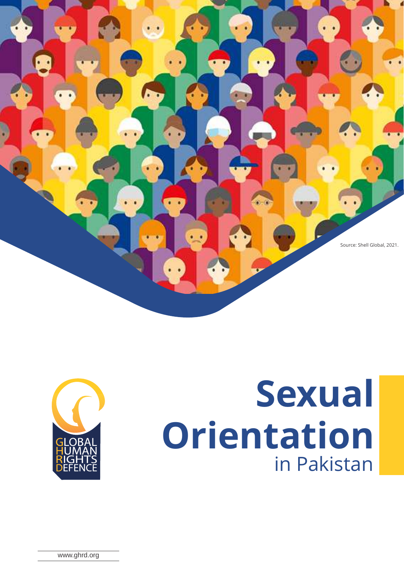





www.ghrd.org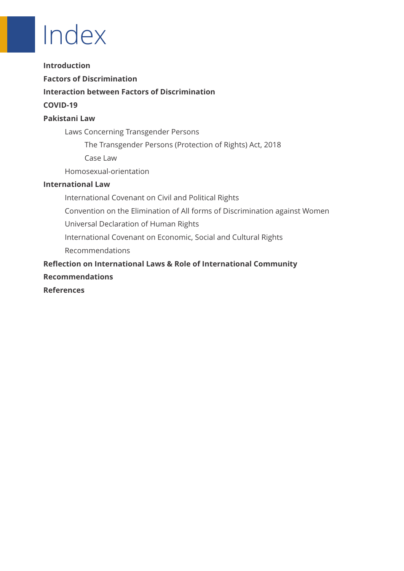# Index

**Introduction**

**Factors of Discrimination**

**Interaction between Factors of Discrimination**

#### **COVID-19**

#### **Pakistani Law**

Laws Concerning Transgender Persons

The Transgender Persons (Protection of Rights) Act, 2018

Case Law

Homosexual-orientation

#### **International Law**

International Covenant on Civil and Political Rights Convention on the Elimination of All forms of Discrimination against Women Universal Declaration of Human Rights International Covenant on Economic, Social and Cultural Rights Recommendations **Reflection on International Laws & Role of International Community**

#### **Recommendations**

**References**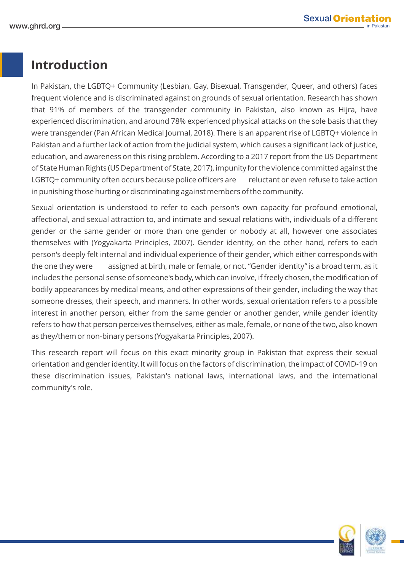## **Introduction**

In Pakistan, the LGBTQ+ Community (Lesbian, Gay, Bisexual, Transgender, Queer, and others) faces frequent violence and is discriminated against on grounds of sexual orientation. Research has shown that 91% of members of the transgender community in Pakistan, also known as Hijra, have experienced discrimination, and around 78% experienced physical attacks on the sole basis that they were transgender (Pan African Medical Journal, 2018). There is an apparent rise of LGBTQ+ violence in Pakistan and a further lack of action from the judicial system, which causes a significant lack of justice, education, and awareness on this rising problem. According to a 2017 report from the US Department of State Human Rights (US Department of State, 2017), impunity for the violence committed against the LGBTQ+ community often occurs because police officers are reluctant or even refuse to take action in punishing those hurting or discriminating against members of the community.

Sexual orientation is understood to refer to each person's own capacity for profound emotional, affectional, and sexual attraction to, and intimate and sexual relations with, individuals of a different gender or the same gender or more than one gender or nobody at all, however one associates themselves with (Yogyakarta Principles, 2007). Gender identity, on the other hand, refers to each person's deeply felt internal and individual experience of their gender, which either corresponds with the one they were assigned at birth, male or female, or not. "Gender identity" is a broad term, as it includes the personal sense of someone's body, which can involve, if freely chosen, the modification of bodily appearances by medical means, and other expressions of their gender, including the way that someone dresses, their speech, and manners. In other words, sexual orientation refers to a possible interest in another person, either from the same gender or another gender, while gender identity refers to how that person perceives themselves, either as male, female, or none of the two, also known as they/them or non-binary persons (Yogyakarta Principles, 2007).

This research report will focus on this exact minority group in Pakistan that express their sexual orientation and gender identity. It will focus on the factors of discrimination, the impact of COVID-19 on these discrimination issues, Pakistan's national laws, international laws, and the international community's role.

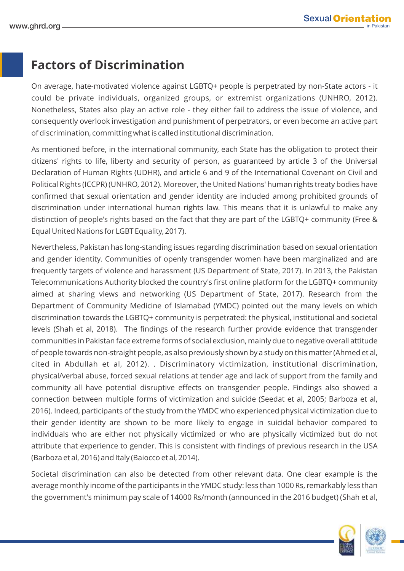## **Factors of Discrimination**

On average, hate-motivated violence against LGBTQ+ people is perpetrated by non-State actors - it could be private individuals, organized groups, or extremist organizations (UNHRO, 2012). Nonetheless, States also play an active role - they either fail to address the issue of violence, and consequently overlook investigation and punishment of perpetrators, or even become an active part of discrimination, committing what is called institutional discrimination.

As mentioned before, in the international community, each State has the obligation to protect their citizens' rights to life, liberty and security of person, as guaranteed by article 3 of the Universal Declaration of Human Rights (UDHR), and article 6 and 9 of the International Covenant on Civil and Political Rights (ICCPR) (UNHRO, 2012). Moreover, the United Nations' human rights treaty bodies have confirmed that sexual orientation and gender identity are included among prohibited grounds of discrimination under international human rights law. This means that it is unlawful to make any distinction of people's rights based on the fact that they are part of the LGBTQ+ community (Free & Equal United Nations for LGBT Equality, 2017).

Nevertheless, Pakistan has long-standing issues regarding discrimination based on sexual orientation and gender identity. Communities of openly transgender women have been marginalized and are frequently targets of violence and harassment (US Department of State, 2017). In 2013, the Pakistan Telecommunications Authority blocked the country's first online platform for the LGBTQ+ community aimed at sharing views and networking (US Department of State, 2017). Research from the Department of Community Medicine of Islamabad (YMDC) pointed out the many levels on which discrimination towards the LGBTQ+ community is perpetrated: the physical, institutional and societal levels (Shah et al, 2018). The findings of the research further provide evidence that transgender communities in Pakistan face extreme forms of social exclusion, mainly due to negative overall attitude of people towards non-straight people, as also previously shown by a study on this matter (Ahmed et al, cited in Abdullah et al, 2012). . Discriminatory victimization, institutional discrimination, physical/verbal abuse, forced sexual relations at tender age and lack of support from the family and community all have potential disruptive effects on transgender people. Findings also showed a connection between multiple forms of victimization and suicide (Seedat et al, 2005; Barboza et al, 2016). Indeed, participants of the study from the YMDC who experienced physical victimization due to their gender identity are shown to be more likely to engage in suicidal behavior compared to individuals who are either not physically victimized or who are physically victimized but do not attribute that experience to gender. This is consistent with findings of previous research in the USA (Barboza et al, 2016) and Italy (Baiocco et al, 2014).

Societal discrimination can also be detected from other relevant data. One clear example is the average monthly income of the participants in the YMDC study: less than 1000 Rs, remarkably less than the government's minimum pay scale of 14000 Rs/month (announced in the 2016 budget) (Shah et al,

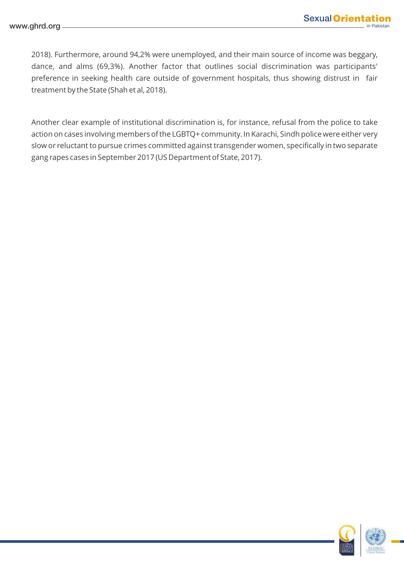2018). Furthermore, around 94,2% were unemployed, and their main source of income was beggary, dance, and alms (69,3%). Another factor that outlines social discrimination was participants' preference in seeking health care outside of government hospitals, thus showing distrust in fair treatment by the State (Shah et al, 2018).

Another clear example of institutional discrimination is, for instance, refusal from the police to take action on cases involving members of the LGBTQ+ community. In Karachi, Sindh police were either very slow or reluctant to pursue crimes committed against transgender women, specifically in two separate gang rapes cases in September 2017 (US Department of State, 2017).

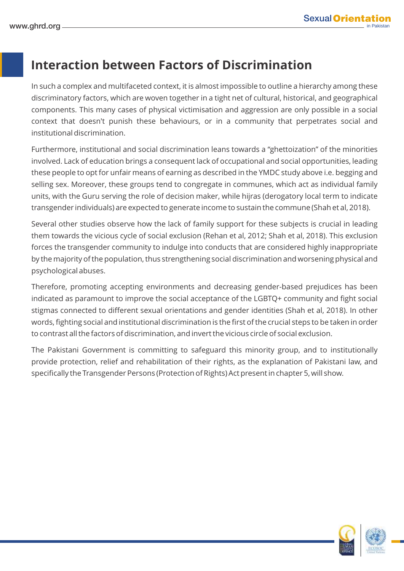## **Interaction between Factors of Discrimination**

In such a complex and multifaceted context, it is almost impossible to outline a hierarchy among these discriminatory factors, which are woven together in a tight net of cultural, historical, and geographical components. This many cases of physical victimisation and aggression are only possible in a social context that doesn't punish these behaviours, or in a community that perpetrates social and institutional discrimination.

Furthermore, institutional and social discrimination leans towards a "ghettoization" of the minorities involved. Lack of education brings a consequent lack of occupational and social opportunities, leading these people to opt for unfair means of earning as described in the YMDC study above i.e. begging and selling sex. Moreover, these groups tend to congregate in communes, which act as individual family units, with the Guru serving the role of decision maker, while hijras (derogatory local term to indicate transgender individuals) are expected to generate income to sustain the commune (Shah et al, 2018).

Several other studies observe how the lack of family support for these subjects is crucial in leading them towards the vicious cycle of social exclusion (Rehan et al, 2012; Shah et al, 2018). This exclusion forces the transgender community to indulge into conducts that are considered highly inappropriate by the majority of the population, thus strengthening social discrimination and worsening physical and psychological abuses.

Therefore, promoting accepting environments and decreasing gender-based prejudices has been indicated as paramount to improve the social acceptance of the LGBTQ+ community and fight social stigmas connected to different sexual orientations and gender identities (Shah et al, 2018). In other words, fighting social and institutional discrimination is the first of the crucial steps to be taken in order to contrast all the factors of discrimination, and invert the vicious circle of social exclusion.

The Pakistani Government is committing to safeguard this minority group, and to institutionally provide protection, relief and rehabilitation of their rights, as the explanation of Pakistani law, and specifically the Transgender Persons (Protection of Rights) Act present in chapter 5, will show.

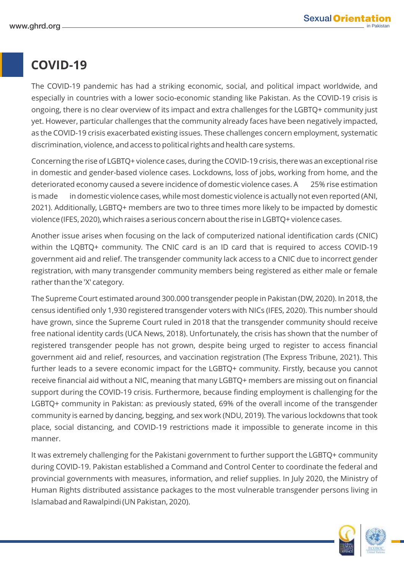## **COVID-19**

The COVID-19 pandemic has had a striking economic, social, and political impact worldwide, and especially in countries with a lower socio-economic standing like Pakistan. As the COVID-19 crisis is ongoing, there is no clear overview of its impact and extra challenges for the LGBTQ+ community just yet. However, particular challenges that the community already faces have been negatively impacted, as the COVID-19 crisis exacerbated existing issues. These challenges concern employment, systematic discrimination, violence, and access to political rights and health care systems.

Concerning the rise of LGBTQ+ violence cases, during the COVID-19 crisis, there was an exceptional rise in domestic and gender-based violence cases. Lockdowns, loss of jobs, working from home, and the deteriorated economy caused a severe incidence of domestic violence cases. A 25% rise estimation is made in domestic violence cases, while most domestic violence is actually not even reported (ANI, 2021). Additionally, LGBTQ+ members are two to three times more likely to be impacted by domestic violence (IFES, 2020), which raises a serious concern about the rise in LGBTQ+ violence cases.

Another issue arises when focusing on the lack of computerized national identification cards (CNIC) within the LQBTQ+ community. The CNIC card is an ID card that is required to access COVID-19 government aid and relief. The transgender community lack access to a CNIC due to incorrect gender registration, with many transgender community members being registered as either male or female rather than the 'X' category.

The Supreme Court estimated around 300.000 transgender people in Pakistan (DW, 2020). In 2018, the census identified only 1,930 registered transgender voters with NICs (IFES, 2020). This number should have grown, since the Supreme Court ruled in 2018 that the transgender community should receive free national identity cards (UCA News, 2018). Unfortunately, the crisis has shown that the number of registered transgender people has not grown, despite being urged to register to access financial government aid and relief, resources, and vaccination registration (The Express Tribune, 2021). This further leads to a severe economic impact for the LGBTQ+ community. Firstly, because you cannot receive financial aid without a NIC, meaning that many LGBTQ+ members are missing out on financial support during the COVID-19 crisis. Furthermore, because finding employment is challenging for the LGBTQ+ community in Pakistan: as previously stated, 69% of the overall income of the transgender community is earned by dancing, begging, and sex work (NDU, 2019). The various lockdowns that took place, social distancing, and COVID-19 restrictions made it impossible to generate income in this manner.

It was extremely challenging for the Pakistani government to further support the LGBTQ+ community during COVID-19. Pakistan established a Command and Control Center to coordinate the federal and provincial governments with measures, information, and relief supplies. In July 2020, the Ministry of Human Rights distributed assistance packages to the most vulnerable transgender persons living in Islamabad and Rawalpindi (UN Pakistan, 2020).

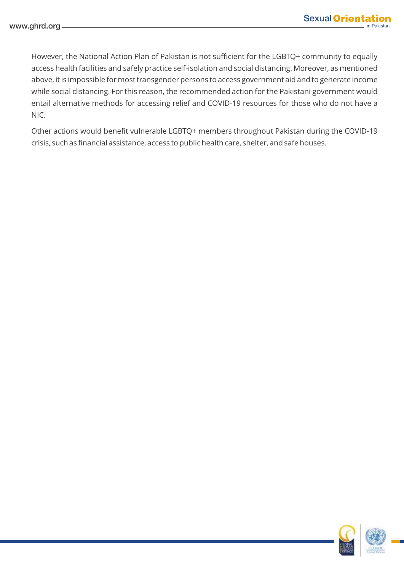However, the National Action Plan of Pakistan is not sufficient for the LGBTQ+ community to equally access health facilities and safely practice self-isolation and social distancing. Moreover, as mentioned above, it is impossible for most transgender persons to access government aid and to generate income while social distancing. For this reason, the recommended action for the Pakistani government would entail alternative methods for accessing relief and COVID-19 resources for those who do not have a NIC.

Other actions would benefit vulnerable LGBTQ+ members throughout Pakistan during the COVID-19 crisis, such as financial assistance, access to public health care, shelter, and safe houses.

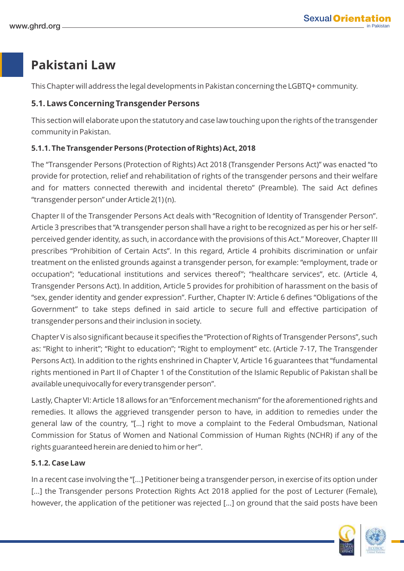## **Pakistani Law**

This Chapter will address the legal developments in Pakistan concerning the LGBTQ+ community.

#### **5.1. Laws Concerning Transgender Persons**

This section will elaborate upon the statutory and case law touching upon the rights of the transgender community in Pakistan.

#### **5.1.1. The Transgender Persons (Protection of Rights) Act, 2018**

The "Transgender Persons (Protection of Rights) Act 2018 (Transgender Persons Act)" was enacted "to provide for protection, relief and rehabilitation of rights of the transgender persons and their welfare and for matters connected therewith and incidental thereto" (Preamble). The said Act defines "transgender person" under Article 2(1) (n).

Chapter II of the Transgender Persons Act deals with "Recognition of Identity of Transgender Person". Article 3 prescribes that "A transgender person shall have a right to be recognized as per his or her selfperceived gender identity, as such, in accordance with the provisions of this Act." Moreover, Chapter III prescribes "Prohibition of Certain Acts". In this regard, Article 4 prohibits discrimination or unfair treatment on the enlisted grounds against a transgender person, for example: "employment, trade or occupation"; "educational institutions and services thereof"; "healthcare services", etc. (Article 4, Transgender Persons Act). In addition, Article 5 provides for prohibition of harassment on the basis of "sex, gender identity and gender expression". Further, Chapter IV: Article 6 defines "Obligations of the Government" to take steps defined in said article to secure full and effective participation of transgender persons and their inclusion in society.

Chapter V is also significant because it specifies the "Protection of Rights of Transgender Persons", such as: "Right to inherit"; "Right to education"; "Right to employment" etc. (Article 7-17, The Transgender Persons Act). In addition to the rights enshrined in Chapter V, Article 16 guarantees that "fundamental rights mentioned in Part II of Chapter 1 of the Constitution of the Islamic Republic of Pakistan shall be available unequivocally for every transgender person".

Lastly, Chapter VI: Article 18 allows for an "Enforcement mechanism" for the aforementioned rights and remedies. It allows the aggrieved transgender person to have, in addition to remedies under the general law of the country, "[…] right to move a complaint to the Federal Ombudsman, National Commission for Status of Women and National Commission of Human Rights (NCHR) if any of the rights guaranteed herein are denied to him or her".

#### **5.1.2. Case Law**

In a recent case involving the "[...] Petitioner being a transgender person, in exercise of its option under [...] the Transgender persons Protection Rights Act 2018 applied for the post of Lecturer (Female), however, the application of the petitioner was rejected [...] on ground that the said posts have been

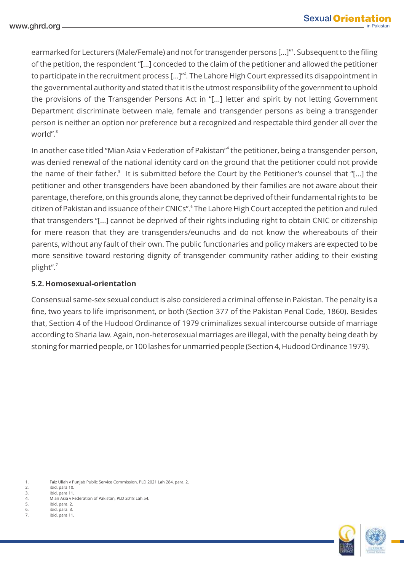earmarked for Lecturers (Male/Female) and not for transgender persons [...]"<sup>1</sup>. Subsequent to the filing of the petition, the respondent "[...] conceded to the claim of the petitioner and allowed the petitioner to participate in the recruitment process [...]"<sup>2</sup>. The Lahore High Court expressed its disappointment in the governmental authority and stated that it is the utmost responsibility of the government to uphold the provisions of the Transgender Persons Act in "[...] letter and spirit by not letting Government Department discriminate between male, female and transgender persons as being a transgender person is neither an option nor preference but a recognized and respectable third gender all over the world"<sup>3</sup>

In another case titled "Mian Asia v Federation of Pakistan"<sup>4</sup> the petitioner, being a transgender person, was denied renewal of the national identity card on the ground that the petitioner could not provide the name of their father.<sup>5</sup> It is submitted before the Court by the Petitioner's counsel that "[...] the petitioner and other transgenders have been abandoned by their families are not aware about their parentage, therefore, on this grounds alone, they cannot be deprived of their fundamental rights to be citizen of Pakistan and issuance of their CNICs". The Lahore High Court accepted the petition and ruled that transgenders "[...] cannot be deprived of their rights including right to obtain CNIC or citizenship for mere reason that they are transgenders/eunuchs and do not know the whereabouts of their parents, without any fault of their own. The public functionaries and policy makers are expected to be more sensitive toward restoring dignity of transgender community rather adding to their existing 7 plight".

#### **5.2. Homosexual-orientation**

Consensual same-sex sexual conduct is also considered a criminal offense in Pakistan. The penalty is a fine, two years to life imprisonment, or both (Section 377 of the Pakistan Penal Code, 1860). Besides that, Section 4 of the Hudood Ordinance of 1979 criminalizes sexual intercourse outside of marriage according to Sharia law. Again, non-heterosexual marriages are illegal, with the penalty being death by stoning for married people, or 100 lashes for unmarried people (Section 4, Hudood Ordinance 1979).

1. Faiz Ullah v Punjab Public Service Commission, PLD 2021 Lah 284, para. 2. 2. ibid, para 10.<br>3. ibid, para 11. ibid, para 11. 4. Mian Asia v Federation of Pakistan, PLD 2018 Lah 54. 5. ibid, para. 2.<br>6. ibid, para. 3. 6. ibid, para. 3. 7. ibid, para 11.



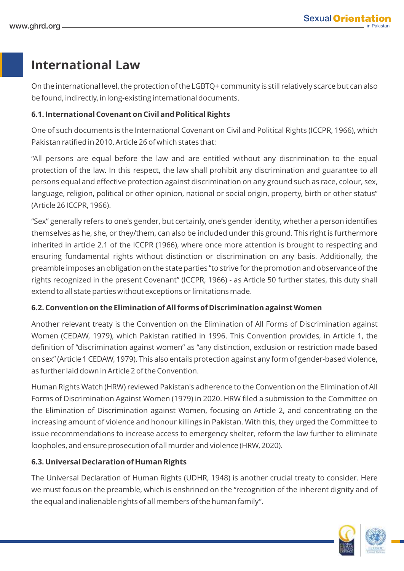### **International Law**

On the international level, the protection of the LGBTQ+ community is still relatively scarce but can also be found, indirectly, in long-existing international documents.

#### **6.1. International Covenant on Civil and Political Rights**

One of such documents is the International Covenant on Civil and Political Rights (ICCPR, 1966), which Pakistan ratified in 2010. Article 26 of which states that:

"All persons are equal before the law and are entitled without any discrimination to the equal protection of the law. In this respect, the law shall prohibit any discrimination and guarantee to all persons equal and effective protection against discrimination on any ground such as race, colour, sex, language, religion, political or other opinion, national or social origin, property, birth or other status" (Article 26 ICCPR, 1966).

"Sex" generally refers to one's gender, but certainly, one's gender identity, whether a person identifies themselves as he, she, or they/them, can also be included under this ground. This right is furthermore inherited in article 2.1 of the ICCPR (1966), where once more attention is brought to respecting and ensuring fundamental rights without distinction or discrimination on any basis. Additionally, the preamble imposes an obligation on the state parties "to strive for the promotion and observance of the rights recognized in the present Covenant" (ICCPR, 1966) - as Article 50 further states, this duty shall extend to all state parties without exceptions or limitations made.

#### **6.2. Convention on the Elimination of All forms of Discrimination against Women**

Another relevant treaty is the Convention on the Elimination of All Forms of Discrimination against Women (CEDAW, 1979), which Pakistan ratified in 1996. This Convention provides, in Article 1, the definition of "discrimination against women" as "any distinction, exclusion or restriction made based on sex" (Article 1 CEDAW, 1979). This also entails protection against any form of gender-based violence, as further laid down in Article 2 of the Convention.

Human Rights Watch (HRW) reviewed Pakistan's adherence to the Convention on the Elimination of All Forms of Discrimination Against Women (1979) in 2020. HRW filed a submission to the Committee on the Elimination of Discrimination against Women, focusing on Article 2, and concentrating on the increasing amount of violence and honour killings in Pakistan. With this, they urged the Committee to issue recommendations to increase access to emergency shelter, reform the law further to eliminate loopholes, and ensure prosecution of all murder and violence (HRW, 2020).

#### **6.3. Universal Declaration of Human Rights**

The Universal Declaration of Human Rights (UDHR, 1948) is another crucial treaty to consider. Here we must focus on the preamble, which is enshrined on the "recognition of the inherent dignity and of the equal and inalienable rights of all members of the human family".

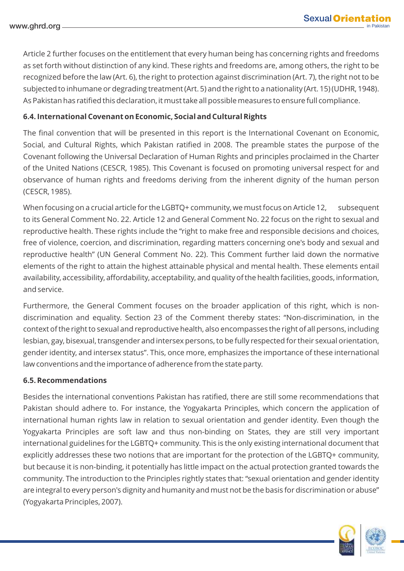Article 2 further focuses on the entitlement that every human being has concerning rights and freedoms as set forth without distinction of any kind. These rights and freedoms are, among others, the right to be recognized before the law (Art. 6), the right to protection against discrimination (Art. 7), the right not to be subjected to inhumane or degrading treatment (Art. 5) and the right to a nationality (Art. 15) (UDHR, 1948). As Pakistan has ratified this declaration, it must take all possible measures to ensure full compliance.

#### **6.4. International Covenant on Economic, Social and Cultural Rights**

The final convention that will be presented in this report is the International Covenant on Economic, Social, and Cultural Rights, which Pakistan ratified in 2008. The preamble states the purpose of the Covenant following the Universal Declaration of Human Rights and principles proclaimed in the Charter of the United Nations (CESCR, 1985). This Covenant is focused on promoting universal respect for and observance of human rights and freedoms deriving from the inherent dignity of the human person (CESCR, 1985).

When focusing on a crucial article for the LGBTQ+ community, we must focus on Article 12, subsequent to its General Comment No. 22. Article 12 and General Comment No. 22 focus on the right to sexual and reproductive health. These rights include the "right to make free and responsible decisions and choices, free of violence, coercion, and discrimination, regarding matters concerning one's body and sexual and reproductive health" (UN General Comment No. 22). This Comment further laid down the normative elements of the right to attain the highest attainable physical and mental health. These elements entail availability, accessibility, affordability, acceptability, and quality of the health facilities, goods, information, and service.

Furthermore, the General Comment focuses on the broader application of this right, which is nondiscrimination and equality. Section 23 of the Comment thereby states: "Non-discrimination, in the context of the right to sexual and reproductive health, also encompasses the right of all persons, including lesbian, gay, bisexual, transgender and intersex persons, to be fully respected for their sexual orientation, gender identity, and intersex status". This, once more, emphasizes the importance of these international law conventions and the importance of adherence from the state party.

#### **6.5. Recommendations**

Besides the international conventions Pakistan has ratified, there are still some recommendations that Pakistan should adhere to. For instance, the Yogyakarta Principles, which concern the application of international human rights law in relation to sexual orientation and gender identity. Even though the Yogyakarta Principles are soft law and thus non-binding on States, they are still very important international guidelines for the LGBTQ+ community. This is the only existing international document that explicitly addresses these two notions that are important for the protection of the LGBTQ+ community, but because it is non-binding, it potentially has little impact on the actual protection granted towards the community. The introduction to the Principles rightly states that: "sexual orientation and gender identity are integral to every person's dignity and humanity and must not be the basis for discrimination or abuse" (Yogyakarta Principles, 2007).

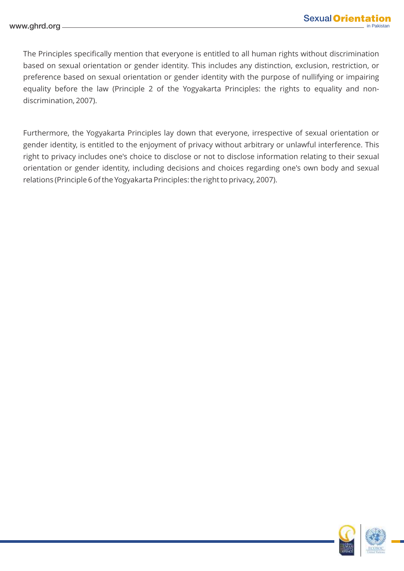The Principles specifically mention that everyone is entitled to all human rights without discrimination based on sexual orientation or gender identity. This includes any distinction, exclusion, restriction, or preference based on sexual orientation or gender identity with the purpose of nullifying or impairing equality before the law (Principle 2 of the Yogyakarta Principles: the rights to equality and nondiscrimination, 2007).

Furthermore, the Yogyakarta Principles lay down that everyone, irrespective of sexual orientation or gender identity, is entitled to the enjoyment of privacy without arbitrary or unlawful interference. This right to privacy includes one's choice to disclose or not to disclose information relating to their sexual orientation or gender identity, including decisions and choices regarding one's own body and sexual relations (Principle 6 of the Yogyakarta Principles: the right to privacy, 2007).



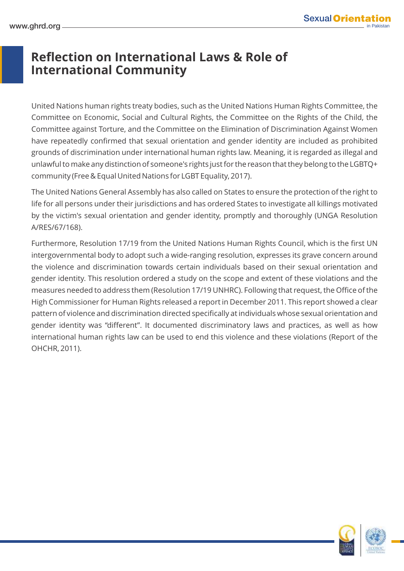## **Reflection on International Laws & Role of International Community**

United Nations human rights treaty bodies, such as the United Nations Human Rights Committee, the Committee on Economic, Social and Cultural Rights, the Committee on the Rights of the Child, the Committee against Torture, and the Committee on the Elimination of Discrimination Against Women have repeatedly confirmed that sexual orientation and gender identity are included as prohibited grounds of discrimination under international human rights law. Meaning, it is regarded as illegal and unlawful to make any distinction of someone's rights just for the reason that they belong to the LGBTQ+ community (Free & Equal United Nations for LGBT Equality, 2017).

The United Nations General Assembly has also called on States to ensure the protection of the right to life for all persons under their jurisdictions and has ordered States to investigate all killings motivated by the victim's sexual orientation and gender identity, promptly and thoroughly (UNGA Resolution A/RES/67/168).

Furthermore, Resolution 17/19 from the United Nations Human Rights Council, which is the first UN intergovernmental body to adopt such a wide-ranging resolution, expresses its grave concern around the violence and discrimination towards certain individuals based on their sexual orientation and gender identity. This resolution ordered a study on the scope and extent of these violations and the measures needed to address them (Resolution 17/19 UNHRC). Following that request, the Office of the High Commissioner for Human Rights released a report in December 2011. This report showed a clear pattern of violence and discrimination directed specifically at individuals whose sexual orientation and gender identity was "different". It documented discriminatory laws and practices, as well as how international human rights law can be used to end this violence and these violations (Report of the OHCHR, 2011).



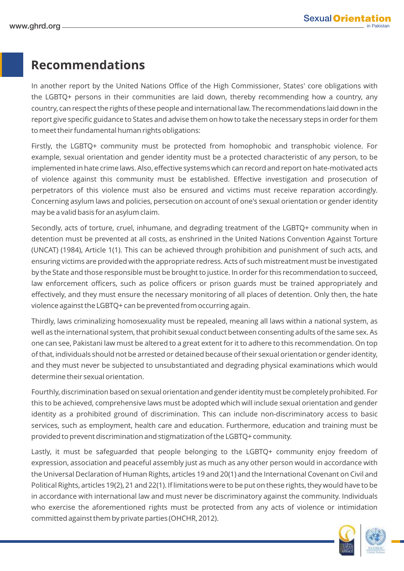## **Recommendations**

In another report by the United Nations Office of the High Commissioner, States' core obligations with the LGBTQ+ persons in their communities are laid down, thereby recommending how a country, any country, can respect the rights of these people and international law. The recommendations laid down in the report give specific guidance to States and advise them on how to take the necessary steps in order for them to meet their fundamental human rights obligations:

Firstly, the LGBTQ+ community must be protected from homophobic and transphobic violence. For example, sexual orientation and gender identity must be a protected characteristic of any person, to be implemented in hate crime laws. Also, effective systems which can record and report on hate-motivated acts of violence against this community must be established. Effective investigation and prosecution of perpetrators of this violence must also be ensured and victims must receive reparation accordingly. Concerning asylum laws and policies, persecution on account of one's sexual orientation or gender identity may be a valid basis for an asylum claim.

Secondly, acts of torture, cruel, inhumane, and degrading treatment of the LGBTQ+ community when in detention must be prevented at all costs, as enshrined in the United Nations Convention Against Torture (UNCAT) (1984), Article 1(1). This can be achieved through prohibition and punishment of such acts, and ensuring victims are provided with the appropriate redress. Acts of such mistreatment must be investigated by the State and those responsible must be brought to justice. In order for this recommendation to succeed, law enforcement officers, such as police officers or prison guards must be trained appropriately and effectively, and they must ensure the necessary monitoring of all places of detention. Only then, the hate violence against the LGBTQ+ can be prevented from occurring again.

Thirdly, laws criminalizing homosexuality must be repealed, meaning all laws within a national system, as well as the international system, that prohibit sexual conduct between consenting adults of the same sex. As one can see, Pakistani law must be altered to a great extent for it to adhere to this recommendation. On top of that, individuals should not be arrested or detained because of their sexual orientation or gender identity, and they must never be subjected to unsubstantiated and degrading physical examinations which would determine their sexual orientation.

Fourthly, discrimination based on sexual orientation and gender identity must be completely prohibited. For this to be achieved, comprehensive laws must be adopted which will include sexual orientation and gender identity as a prohibited ground of discrimination. This can include non-discriminatory access to basic services, such as employment, health care and education. Furthermore, education and training must be provided to prevent discrimination and stigmatization of the LGBTQ+ community.

Lastly, it must be safeguarded that people belonging to the LGBTQ+ community enjoy freedom of expression, association and peaceful assembly just as much as any other person would in accordance with the Universal Declaration of Human Rights, articles 19 and 20(1) and the International Covenant on Civil and Political Rights, articles 19(2), 21 and 22(1). If limitations were to be put on these rights, they would have to be in accordance with international law and must never be discriminatory against the community. Individuals who exercise the aforementioned rights must be protected from any acts of violence or intimidation committed against them by private parties (OHCHR, 2012).



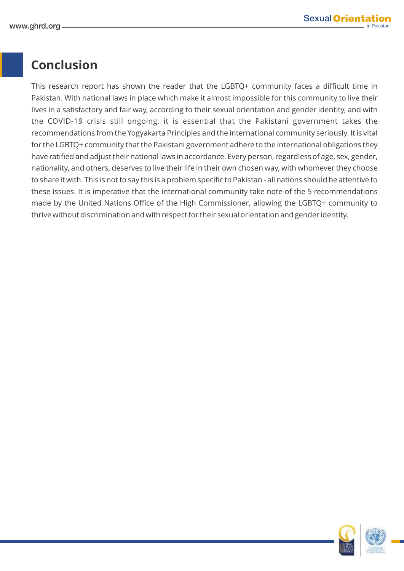## **Conclusion**

This research report has shown the reader that the LGBTQ+ community faces a difficult time in Pakistan. With national laws in place which make it almost impossible for this community to live their lives in a satisfactory and fair way, according to their sexual orientation and gender identity, and with the COVID-19 crisis still ongoing, it is essential that the Pakistani government takes the recommendations from the Yogyakarta Principles and the international community seriously. It is vital for the LGBTQ+ community that the Pakistani government adhere to the international obligations they have ratified and adjust their national laws in accordance. Every person, regardless of age, sex, gender, nationality, and others, deserves to live their life in their own chosen way, with whomever they choose to share it with. This is not to say this is a problem specific to Pakistan - all nations should be attentive to these issues. It is imperative that the international community take note of the 5 recommendations made by the United Nations Office of the High Commissioner, allowing the LGBTQ+ community to thrive without discrimination and with respect for their sexual orientation and gender identity.



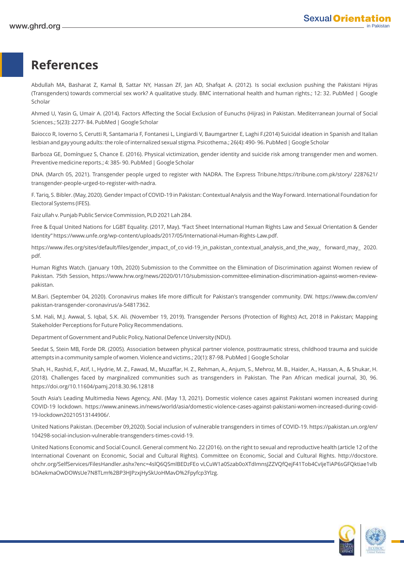## **References**

Abdullah MA, Basharat Z, Kamal B, Sattar NY, Hassan ZF, Jan AD, Shafqat A. (2012). Is social exclusion pushing the Pakistani Hijras (Transgenders) towards commercial sex work? A qualitative study. BMC international health and human rights.; 12: 32. PubMed | Google Scholar

Ahmed U, Yasin G, Umair A. (2014). Factors Affecting the Social Exclusion of Eunuchs (Hijras) in Pakistan. Mediterranean Journal of Social Sciences.; 5(23): 2277- 84. PubMed | Google Scholar

Baiocco R, Ioverno S, Cerutti R, Santamaria F, Fontanesi L, Lingiardi V, Baumgartner E, Laghi F.(2014) Suicidal ideation in Spanish and Italian lesbian and gay young adults: the role of internalized sexual stigma. Psicothema.; 26(4): 490- 96. PubMed | Google Scholar

Barboza GE, Domínguez S, Chance E. (2016). Physical victimization, gender identity and suicide risk among transgender men and women. Preventive medicine reports.; 4: 385- 90. PubMed | Google Scholar

DNA. (March 05, 2021). Transgender people urged to register with NADRA. The Express Tribune.https://tribune.com.pk/story/ 2287621/ transgender-people-urged-to-register-with-nadra.

F. Tariq, S. Bibler. (May, 2020). Gender Impact of COVID-19 in Pakistan: Contextual Analysis and the Way Forward. International Foundation for Electoral Systems (IFES).

Faiz ullah v. Punjab Public Service Commission, PLD 2021 Lah 284.

Free & Equal United Nations for LGBT Equality. (2017, May). "Fact Sheet International Human Rights Law and Sexual Orientation & Gender Identity" https://www.unfe.org/wp-content/uploads/2017/05/International-Human-Rights-Law.pdf.

https://www.ifes.org/sites/default/files/gender\_impact\_of\_co vid-19\_in\_pakistan\_contextual\_analysis\_and\_the\_way\_ forward\_may\_ 2020. pdf.

Human Rights Watch. (January 10th, 2020) Submission to the Committee on the Elimination of Discrimination against Women review of Pakistan. 75th Session, https://www.hrw.org/news/2020/01/10/submission-committee-elimination-discrimination-against-women-reviewpakistan.

M.Bari. (September 04, 2020). Coronavirus makes life more difficult for Pakistan's transgender community. DW. https://www.dw.com/en/ pakistan-transgender-coronavirus/a-54817362.

S.M. Hali, M.J. Awwal, S. Iqbal, S.K. Ali. (November 19, 2019). Transgender Persons (Protection of Rights) Act, 2018 in Pakistan; Mapping Stakeholder Perceptions for Future Policy Recommendations.

Department of Government and Public Policy, National Defence University (NDU).

Seedat S, Stein MB, Forde DR. (2005). Association between physical partner violence, posttraumatic stress, childhood trauma and suicide attempts in a community sample of women. Violence and victims.; 20(1): 87-98. PubMed | Google Scholar

Shah, H., Rashid, F., Atif, I., Hydrie, M. Z., Fawad, M., Muzaffar, H. Z., Rehman, A., Anjum, S., Mehroz, M. B., Haider, A., Hassan, A., & Shukar, H. (2018). Challenges faced by marginalized communities such as transgenders in Pakistan. The Pan African medical journal, 30, 96. https://doi.org/10.11604/pamj.2018.30.96.12818

South Asia's Leading Multimedia News Agency, ANI. (May 13, 2021). Domestic violence cases against Pakistani women increased during COVID-19 lockdown. https://www.aninews.in/news/world/asia/domestic-violence-cases-against-pakistani-women-increased-during-covid-19-lockdown20210513144906/.

United Nations Pakistan. (December 09,2020). Social inclusion of vulnerable transgenders in times of COVID-19. https://pakistan.un.org/en/ 104298-social-inclusion-vulnerable-transgenders-times-covid-19.

United Nations Economic and Social Council. General comment No. 22 (2016). on the right to sexual and reproductive health (article 12 of the International Covenant on Economic, Social and Cultural Rights). Committee on Economic, Social and Cultural Rights. http://docstore. ohchr.org/SelfServices/FilesHandler.ashx?enc=4slQ6QSmlBEDzFEo vLCuW1a0Szab0oXTdImnsJZZVQfQejF41Tob4CvIjeTiAP6sGFQktiae1vlb bOAekmaOwDOWsUe7N8TLm%2BP3HJPzxjHySkUoHMavD%2Fpyfcp3Ylzg.

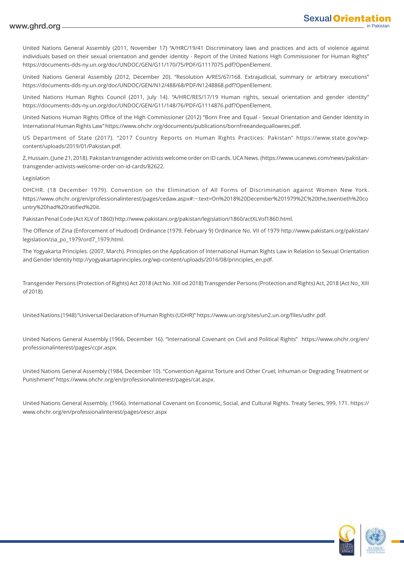#### www.ghrd.org

United Nations General Assembly (2011, November 17) "A/HRC/19/41 Discriminatory laws and practices and acts of violence against individuals based on their sexual orientation and gender identity - Report of the United Nations High Commissioner for Human Rights" https://documents-dds-ny.un.org/doc/UNDOC/GEN/G11/170/75/PDF/G1117075.pdf?OpenElement.

United Nations General Assembly (2012, December 20). "Resolution A/RES/67/168. Extrajudicial, summary or arbitrary executions" https://documents-dds-ny.un.org/doc/UNDOC/GEN/N12/488/68/PDF/N1248868.pdf?OpenElement.

United Nations Human Rights Council (2011, July 14). "A/HRC/RES/17/19 Human rights, sexual orientation and gender identity" https://documents-dds-ny.un.org/doc/UNDOC/GEN/G11/148/76/PDF/G1114876.pdf?OpenElement.

United Nations Human Rights Office of the High Commissioner (2012) "Born Free and Equal - Sexual Orientation and Gender Identity in International Human Rights Law" https://www.ohchr.org/documents/publications/bornfreeandequallowres.pdf.

US Department of State (2017). "2017 Country Reports on Human Rights Practices: Pakistan" https://www.state.gov/wpcontent/uploads/2019/01/Pakistan.pdf.

Z, Hussain. (June 21, 2018). Pakistan transgender activists welcome order on ID cards. UCA News. (https://www.ucanews.com/news/pakistantransgender-activists-welcome-order-on-id-cards/82622.

#### Legislation

OHCHR. (18 December 1979). Convention on the Elimination of All Forms of Discrimination against Women New York. https://www.ohchr.org/en/professionalinterest/pages/cedaw.aspx#:~:text=On%2018%20December%201979%2C%20the,twentieth%20co untry%20had%20ratified%20it.

Pakistan Penal Code (Act XLV of 1860) http://www.pakistani.org/pakistan/legislation/1860/actXLVof1860.html.

The Offence of Zina (Enforcement of Hudood) Ordinance (1979, February 9) Ordinance No. VII of 1979 http://www.pakistani.org/pakistan/ legislation/zia\_po\_1979/ord7\_1979.html.

The Yogyakarta Principles. (2007, March). Principles on the Application of International Human Rights Law in Relation to Sexual Orientation and Gender Identity http://yogyakartaprinciples.org/wp-content/uploads/2016/08/principles\_en.pdf.

Transgender Persons (Protection of Rights) Act 2018 (Act No. XIII od 2018) Transgender Persons (Protection and Rights) Act, 2018 (Act No\_ XIII of 2018)

United Nations (1948) "Universal Declaration of Human Rights (UDHR)" https://www.un.org/sites/un2.un.org/files/udhr.pdf.

United Nations General Assembly (1966, December 16). "International Covenant on Civil and Political Rights" https://www.ohchr.org/en/ professionalinterest/pages/ccpr.aspx.

United Nations General Assembly (1984, December 10). "Convention Against Torture and Other Cruel, Inhuman or Degrading Treatment or Punishment" https://www.ohchr.org/en/professionalinterest/pages/cat.aspx.

United Nations General Assembly. (1966). International Covenant on Economic, Social, and Cultural Rights. Treaty Series, 999, 171. https:// www.ohchr.org/en/professionalinterest/pages/cescr.aspx